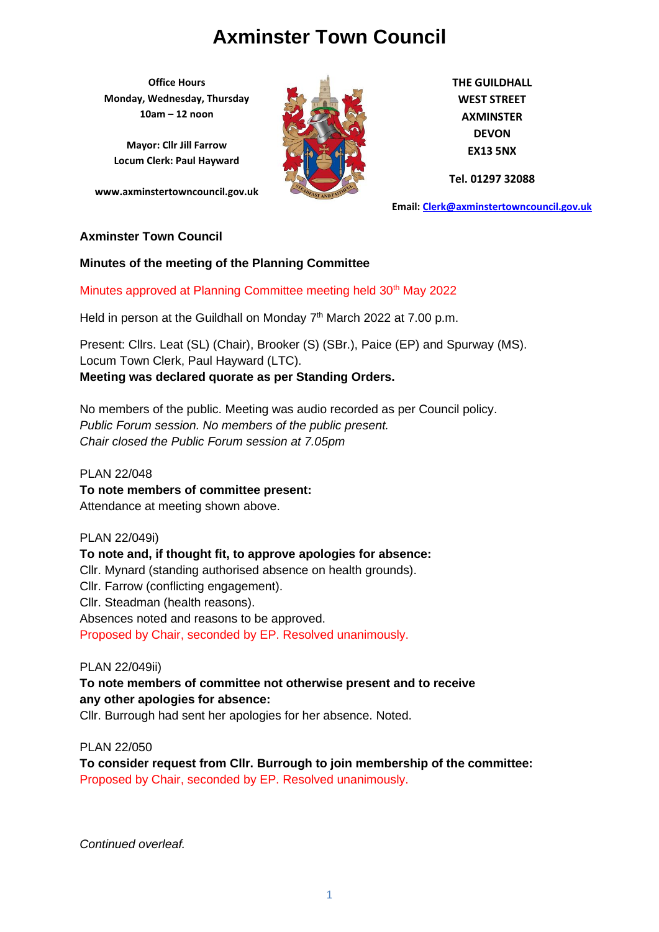**Office Hours Monday, Wednesday, Thursday 10am – 12 noon**

**Mayor: Cllr Jill Farrow Locum Clerk: Paul Hayward**

**www.axminstertowncouncil.gov.uk**



**THE GUILDHALL WEST STREET AXMINSTER DEVON EX13 5NX**

**Tel. 01297 32088**

**Email: [Clerk@axminstertowncouncil.gov.uk](file://///axm-svr-1/company/Templates/Clerk@axminstertowncouncil.gov.uk)**

#### **Axminster Town Council**

#### **Minutes of the meeting of the Planning Committee**

Minutes approved at Planning Committee meeting held 30<sup>th</sup> May 2022

Held in person at the Guildhall on Monday 7<sup>th</sup> March 2022 at 7.00 p.m.

Present: Cllrs. Leat (SL) (Chair), Brooker (S) (SBr.), Paice (EP) and Spurway (MS). Locum Town Clerk, Paul Hayward (LTC). **Meeting was declared quorate as per Standing Orders.**

No members of the public. Meeting was audio recorded as per Council policy. *Public Forum session. No members of the public present. Chair closed the Public Forum session at 7.05pm*

PLAN 22/048 **To note members of committee present:** Attendance at meeting shown above.

PLAN 22/049i) **To note and, if thought fit, to approve apologies for absence:** Cllr. Mynard (standing authorised absence on health grounds). Cllr. Farrow (conflicting engagement). Cllr. Steadman (health reasons). Absences noted and reasons to be approved. Proposed by Chair, seconded by EP. Resolved unanimously.

PLAN 22/049ii)

**To note members of committee not otherwise present and to receive any other apologies for absence:**

Cllr. Burrough had sent her apologies for her absence. Noted.

PLAN 22/050

**To consider request from Cllr. Burrough to join membership of the committee:** Proposed by Chair, seconded by EP. Resolved unanimously.

*Continued overleaf.*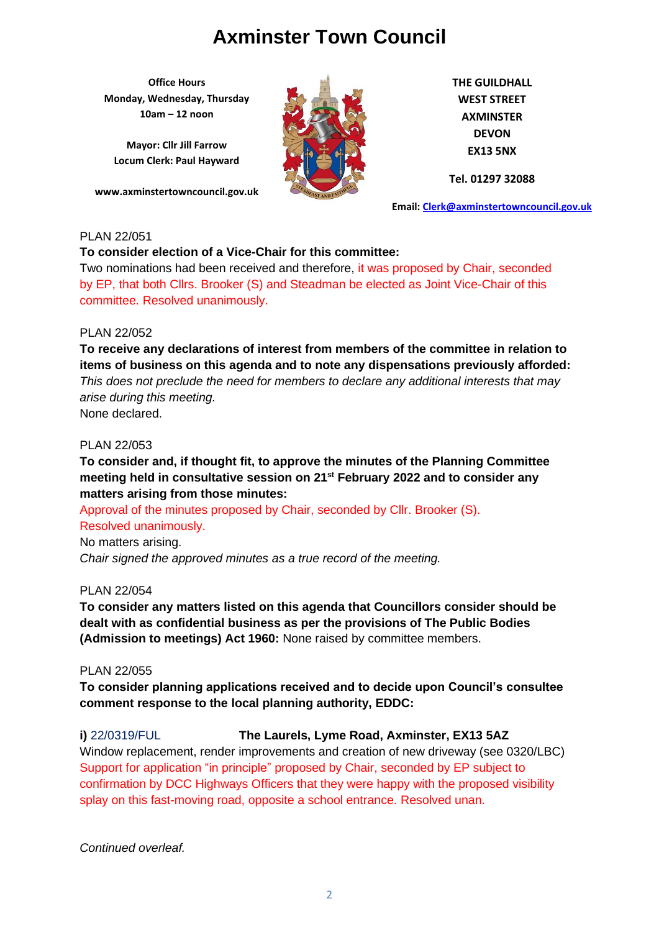**Office Hours Monday, Wednesday, Thursday 10am – 12 noon**

**Mayor: Cllr Jill Farrow Locum Clerk: Paul Hayward**

**www.axminstertowncouncil.gov.uk**



**THE GUILDHALL WEST STREET AXMINSTER DEVON EX13 5NX**

**Tel. 01297 32088**

**Email: [Clerk@axminstertowncouncil.gov.uk](file://///axm-svr-1/company/Templates/Clerk@axminstertowncouncil.gov.uk)**

### PLAN 22/051

#### **To consider election of a Vice-Chair for this committee:**

Two nominations had been received and therefore, it was proposed by Chair, seconded by EP, that both Cllrs. Brooker (S) and Steadman be elected as Joint Vice-Chair of this committee. Resolved unanimously.

### PLAN 22/052

**To receive any declarations of interest from members of the committee in relation to items of business on this agenda and to note any dispensations previously afforded:**  *This does not preclude the need for members to declare any additional interests that may arise during this meeting.* None declared.

#### PLAN 22/053

**To consider and, if thought fit, to approve the minutes of the Planning Committee meeting held in consultative session on 21st February 2022 and to consider any matters arising from those minutes:**

Approval of the minutes proposed by Chair, seconded by Cllr. Brooker (S). Resolved unanimously.

No matters arising.

*Chair signed the approved minutes as a true record of the meeting.*

#### PLAN 22/054

**To consider any matters listed on this agenda that Councillors consider should be dealt with as confidential business as per the provisions of The Public Bodies (Admission to meetings) Act 1960:** None raised by committee members.

#### PLAN 22/055

**To consider planning applications received and to decide upon Council's consultee comment response to the local planning authority, EDDC:**

# **i)** 22/0319/FUL **The Laurels, Lyme Road, Axminster, EX13 5AZ**

Window replacement, render improvements and creation of new driveway (see 0320/LBC) Support for application "in principle" proposed by Chair, seconded by EP subject to confirmation by DCC Highways Officers that they were happy with the proposed visibility splay on this fast-moving road, opposite a school entrance. Resolved unan.

*Continued overleaf.*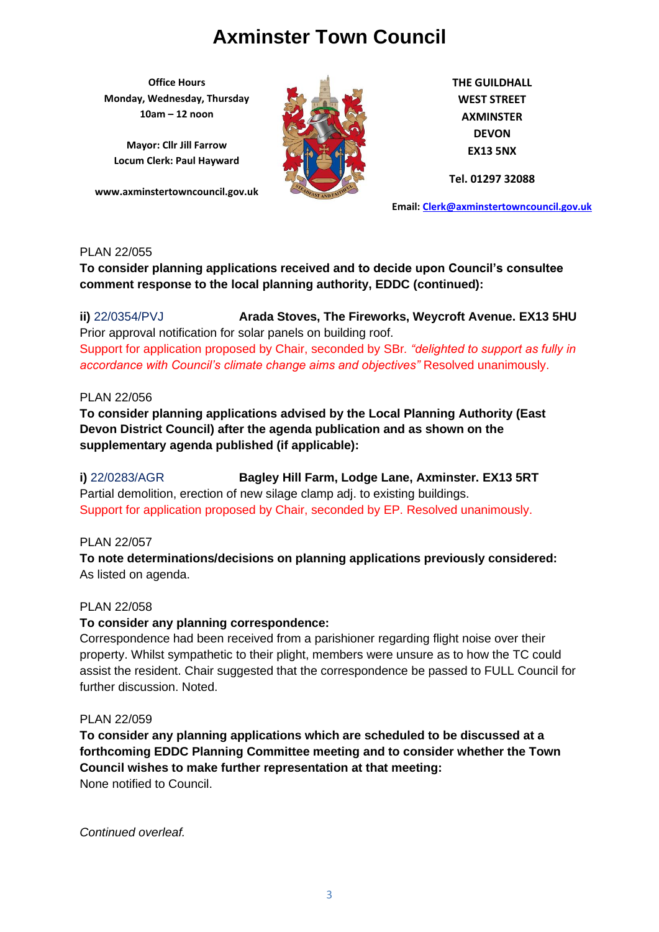**Office Hours Monday, Wednesday, Thursday 10am – 12 noon**

**Mayor: Cllr Jill Farrow Locum Clerk: Paul Hayward**

**www.axminstertowncouncil.gov.uk**



**THE GUILDHALL WEST STREET AXMINSTER DEVON EX13 5NX**

**Tel. 01297 32088**

**Email: [Clerk@axminstertowncouncil.gov.uk](file://///axm-svr-1/company/Templates/Clerk@axminstertowncouncil.gov.uk)**

# PLAN 22/055

**To consider planning applications received and to decide upon Council's consultee comment response to the local planning authority, EDDC (continued):**

**TEL:** 01297 3208 **ii)** 22/0354/PVJ **Arada Stoves, The Fireworks, Weycroft Avenue. EX13 5HU** Prior approval notification for solar panels on building roof. Support for application proposed by Chair, seconded by SBr*. "delighted to support as fully in accordance with Council's climate change aims and objectives"* Resolved unanimously.

# PLAN 22/056

**To consider planning applications advised by the Local Planning Authority (East Devon District Council) after the agenda publication and as shown on the supplementary agenda published (if applicable):**

**i)** 22/0283/AGR **Bagley Hill Farm, Lodge Lane, Axminster. EX13 5RT** Partial demolition, erection of new silage clamp adj. to existing buildings. Support for application proposed by Chair, seconded by EP. Resolved unanimously.

PLAN 22/057

**To note determinations/decisions on planning applications previously considered:** As listed on agenda.

### PLAN 22/058

# **To consider any planning correspondence:**

Correspondence had been received from a parishioner regarding flight noise over their property. Whilst sympathetic to their plight, members were unsure as to how the TC could assist the resident. Chair suggested that the correspondence be passed to FULL Council for further discussion. Noted.

### PLAN 22/059

**To consider any planning applications which are scheduled to be discussed at a forthcoming EDDC Planning Committee meeting and to consider whether the Town Council wishes to make further representation at that meeting:** None notified to Council.

*Continued overleaf.*